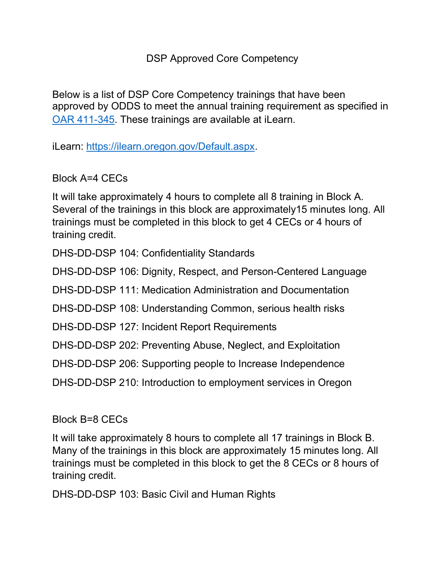## DSP Approved Core Competency

Below is a list of DSP Core Competency trainings that have been approved by ODDS to meet the annual training requirement as specified in [OAR 411-345.](https://www.dhs.state.or.us/policy/spd/rules/411_345.pdf) These trainings are available at iLearn.

iLearn: [https://ilearn.oregon.gov/Default.aspx.](https://ilearn.oregon.gov/Default.aspx)

Block A=4 CECs

It will take approximately 4 hours to complete all 8 training in Block A. Several of the trainings in this block are approximately15 minutes long. All trainings must be completed in this block to get 4 CECs or 4 hours of training credit.

DHS-DD-DSP 104: Confidentiality Standards

DHS-DD-DSP 106: Dignity, Respect, and Person-Centered Language

DHS-DD-DSP 111: Medication Administration and Documentation

DHS-DD-DSP 108: Understanding Common, serious health risks

DHS-DD-DSP 127: Incident Report Requirements

DHS-DD-DSP 202: Preventing Abuse, Neglect, and Exploitation

DHS-DD-DSP 206: Supporting people to Increase Independence

DHS-DD-DSP 210: Introduction to employment services in Oregon

Block B=8 CECs

It will take approximately 8 hours to complete all 17 trainings in Block B. Many of the trainings in this block are approximately 15 minutes long. All trainings must be completed in this block to get the 8 CECs or 8 hours of training credit.

DHS-DD-DSP 103: Basic Civil and Human Rights